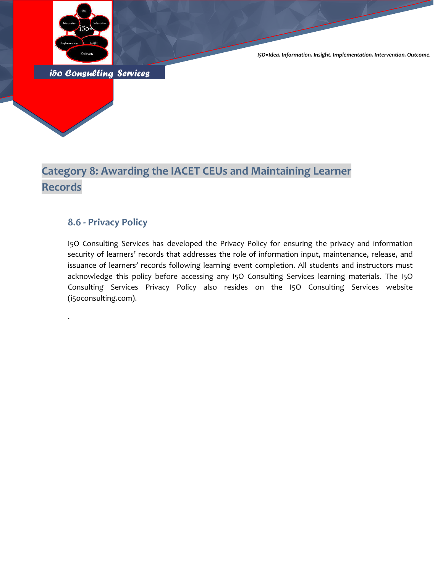

*I5O=Idea. Information. Insight. Implementation. Intervention. Outcome.*

*i5o Consulting Services* 

### **Category 8: Awarding the IACET CEUs and Maintaining Learner Records**

#### **8.6 - Privacy Policy**

.

I5O Consulting Services has developed the Privacy Policy for ensuring the privacy and information security of learners' records that addresses the role of information input, maintenance, release, and issuance of learners' records following learning event completion. All students and instructors must acknowledge this policy before accessing any I5O Consulting Services learning materials. The I5O Consulting Services Privacy Policy also resides on the I5O Consulting Services website (i5oconsulting.com).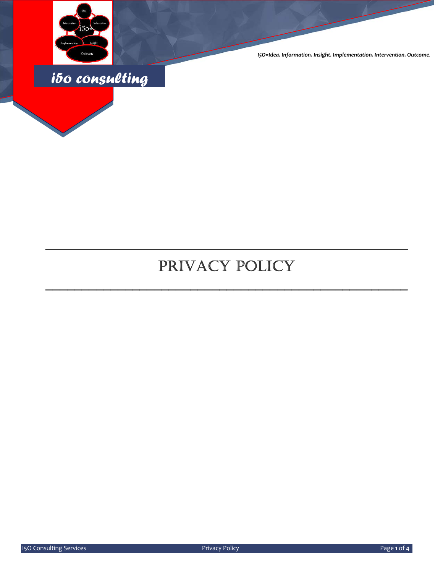

*I5O=Idea. Information. Insight. Implementation. Intervention. Outcome.*



# PRIVACY POLICY

\_\_\_\_\_\_\_\_\_\_\_\_\_\_\_\_\_\_\_\_\_\_\_\_\_\_\_\_\_\_\_\_\_\_\_\_\_\_\_\_\_\_\_\_\_\_\_\_\_\_

\_\_\_\_\_\_\_\_\_\_\_\_\_\_\_\_\_\_\_\_\_\_\_\_\_\_\_\_\_\_\_\_\_\_\_\_\_\_\_\_\_\_\_\_\_\_\_\_\_\_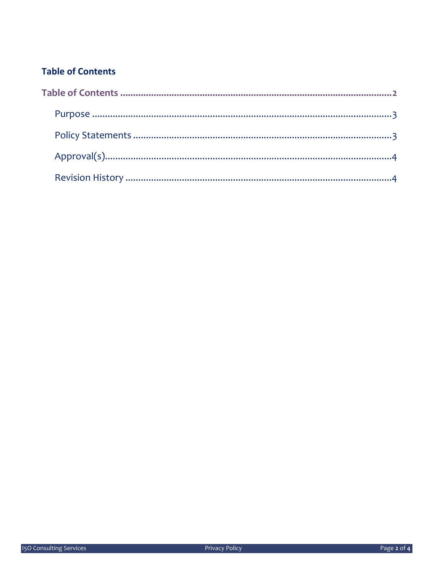### **Table of Contents**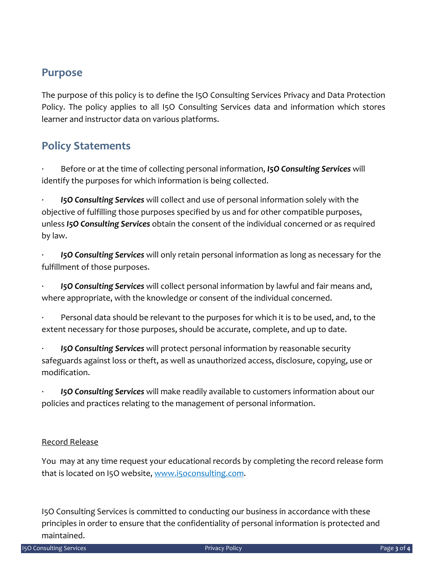#### **Purpose**

The purpose of this policy is to define the I5O Consulting Services Privacy and Data Protection Policy. The policy applies to all I5O Consulting Services data and information which stores learner and instructor data on various platforms.

### **Policy Statements**

∙ Before or at the time of collecting personal information, *I5O Consulting Services* will identify the purposes for which information is being collected.

∙ *I5O Consulting Services* will collect and use of personal information solely with the objective of fulfilling those purposes specified by us and for other compatible purposes, unless *I5O Consulting Services* obtain the consent of the individual concerned or as required by law.

∙ *I5O Consulting Services* will only retain personal information as long as necessary for the fulfillment of those purposes.

∙ *I5O Consulting Services* will collect personal information by lawful and fair means and, where appropriate, with the knowledge or consent of the individual concerned.

Personal data should be relevant to the purposes for which it is to be used, and, to the extent necessary for those purposes, should be accurate, complete, and up to date.

∙ *I5O Consulting Services* will protect personal information by reasonable security safeguards against loss or theft, as well as unauthorized access, disclosure, copying, use or modification.

∙ *I5O Consulting Services* will make readily available to customers information about our policies and practices relating to the management of personal information.

#### Record Release

You may at any time request your educational records by completing the record release form that is located on I5O website, www.i5oconsulting.com.

I5O Consulting Services is committed to conducting our business in accordance with these principles in order to ensure that the confidentiality of personal information is protected and maintained.